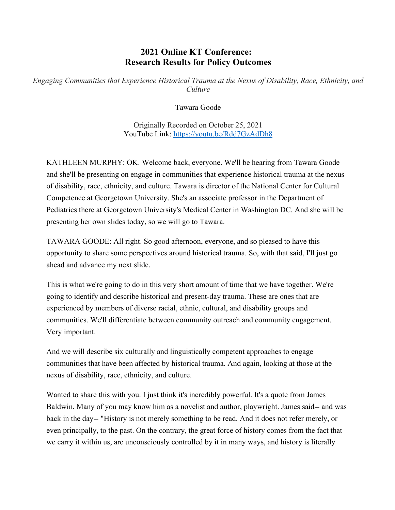## **2021 Online KT Conference: Research Results for Policy Outcomes**

*Engaging Communities that Experience Historical Trauma at the Nexus of Disability, Race, Ethnicity, and Culture*

Tawara Goode

Originally Recorded on October 25, 2021 YouTube Link: <https://youtu.be/Rdd7GzAdDh8>

KATHLEEN MURPHY: OK. Welcome back, everyone. We'll be hearing from Tawara Goode and she'll be presenting on engage in communities that experience historical trauma at the nexus of disability, race, ethnicity, and culture. Tawara is director of the National Center for Cultural Competence at Georgetown University. She's an associate professor in the Department of Pediatrics there at Georgetown University's Medical Center in Washington DC. And she will be presenting her own slides today, so we will go to Tawara.

TAWARA GOODE: All right. So good afternoon, everyone, and so pleased to have this opportunity to share some perspectives around historical trauma. So, with that said, I'll just go ahead and advance my next slide.

This is what we're going to do in this very short amount of time that we have together. We're going to identify and describe historical and present-day trauma. These are ones that are experienced by members of diverse racial, ethnic, cultural, and disability groups and communities. We'll differentiate between community outreach and community engagement. Very important.

And we will describe six culturally and linguistically competent approaches to engage communities that have been affected by historical trauma. And again, looking at those at the nexus of disability, race, ethnicity, and culture.

Wanted to share this with you. I just think it's incredibly powerful. It's a quote from James Baldwin. Many of you may know him as a novelist and author, playwright. James said-- and was back in the day-- "History is not merely something to be read. And it does not refer merely, or even principally, to the past. On the contrary, the great force of history comes from the fact that we carry it within us, are unconsciously controlled by it in many ways, and history is literally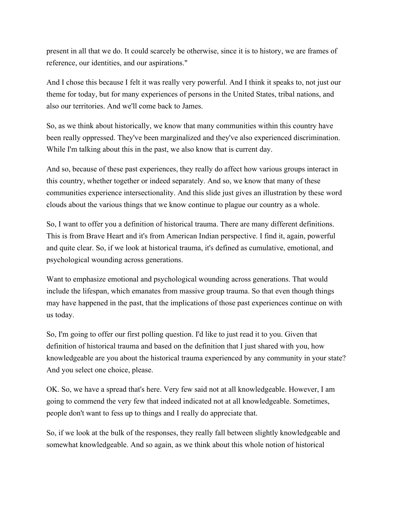present in all that we do. It could scarcely be otherwise, since it is to history, we are frames of reference, our identities, and our aspirations."

And I chose this because I felt it was really very powerful. And I think it speaks to, not just our theme for today, but for many experiences of persons in the United States, tribal nations, and also our territories. And we'll come back to James.

So, as we think about historically, we know that many communities within this country have been really oppressed. They've been marginalized and they've also experienced discrimination. While I'm talking about this in the past, we also know that is current day.

And so, because of these past experiences, they really do affect how various groups interact in this country, whether together or indeed separately. And so, we know that many of these communities experience intersectionality. And this slide just gives an illustration by these word clouds about the various things that we know continue to plague our country as a whole.

So, I want to offer you a definition of historical trauma. There are many different definitions. This is from Brave Heart and it's from American Indian perspective. I find it, again, powerful and quite clear. So, if we look at historical trauma, it's defined as cumulative, emotional, and psychological wounding across generations.

Want to emphasize emotional and psychological wounding across generations. That would include the lifespan, which emanates from massive group trauma. So that even though things may have happened in the past, that the implications of those past experiences continue on with us today.

So, I'm going to offer our first polling question. I'd like to just read it to you. Given that definition of historical trauma and based on the definition that I just shared with you, how knowledgeable are you about the historical trauma experienced by any community in your state? And you select one choice, please.

OK. So, we have a spread that's here. Very few said not at all knowledgeable. However, I am going to commend the very few that indeed indicated not at all knowledgeable. Sometimes, people don't want to fess up to things and I really do appreciate that.

So, if we look at the bulk of the responses, they really fall between slightly knowledgeable and somewhat knowledgeable. And so again, as we think about this whole notion of historical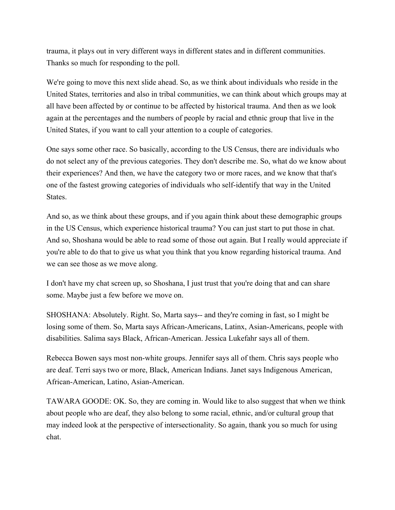trauma, it plays out in very different ways in different states and in different communities. Thanks so much for responding to the poll.

We're going to move this next slide ahead. So, as we think about individuals who reside in the United States, territories and also in tribal communities, we can think about which groups may at all have been affected by or continue to be affected by historical trauma. And then as we look again at the percentages and the numbers of people by racial and ethnic group that live in the United States, if you want to call your attention to a couple of categories.

One says some other race. So basically, according to the US Census, there are individuals who do not select any of the previous categories. They don't describe me. So, what do we know about their experiences? And then, we have the category two or more races, and we know that that's one of the fastest growing categories of individuals who self-identify that way in the United States.

And so, as we think about these groups, and if you again think about these demographic groups in the US Census, which experience historical trauma? You can just start to put those in chat. And so, Shoshana would be able to read some of those out again. But I really would appreciate if you're able to do that to give us what you think that you know regarding historical trauma. And we can see those as we move along.

I don't have my chat screen up, so Shoshana, I just trust that you're doing that and can share some. Maybe just a few before we move on.

SHOSHANA: Absolutely. Right. So, Marta says-- and they're coming in fast, so I might be losing some of them. So, Marta says African-Americans, Latinx, Asian-Americans, people with disabilities. Salima says Black, African-American. Jessica Lukefahr says all of them.

Rebecca Bowen says most non-white groups. Jennifer says all of them. Chris says people who are deaf. Terri says two or more, Black, American Indians. Janet says Indigenous American, African-American, Latino, Asian-American.

TAWARA GOODE: OK. So, they are coming in. Would like to also suggest that when we think about people who are deaf, they also belong to some racial, ethnic, and/or cultural group that may indeed look at the perspective of intersectionality. So again, thank you so much for using chat.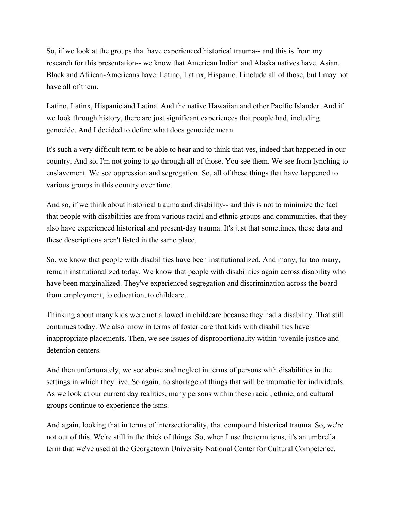So, if we look at the groups that have experienced historical trauma-- and this is from my research for this presentation-- we know that American Indian and Alaska natives have. Asian. Black and African-Americans have. Latino, Latinx, Hispanic. I include all of those, but I may not have all of them.

Latino, Latinx, Hispanic and Latina. And the native Hawaiian and other Pacific Islander. And if we look through history, there are just significant experiences that people had, including genocide. And I decided to define what does genocide mean.

It's such a very difficult term to be able to hear and to think that yes, indeed that happened in our country. And so, I'm not going to go through all of those. You see them. We see from lynching to enslavement. We see oppression and segregation. So, all of these things that have happened to various groups in this country over time.

And so, if we think about historical trauma and disability-- and this is not to minimize the fact that people with disabilities are from various racial and ethnic groups and communities, that they also have experienced historical and present-day trauma. It's just that sometimes, these data and these descriptions aren't listed in the same place.

So, we know that people with disabilities have been institutionalized. And many, far too many, remain institutionalized today. We know that people with disabilities again across disability who have been marginalized. They've experienced segregation and discrimination across the board from employment, to education, to childcare.

Thinking about many kids were not allowed in childcare because they had a disability. That still continues today. We also know in terms of foster care that kids with disabilities have inappropriate placements. Then, we see issues of disproportionality within juvenile justice and detention centers.

And then unfortunately, we see abuse and neglect in terms of persons with disabilities in the settings in which they live. So again, no shortage of things that will be traumatic for individuals. As we look at our current day realities, many persons within these racial, ethnic, and cultural groups continue to experience the isms.

And again, looking that in terms of intersectionality, that compound historical trauma. So, we're not out of this. We're still in the thick of things. So, when I use the term isms, it's an umbrella term that we've used at the Georgetown University National Center for Cultural Competence.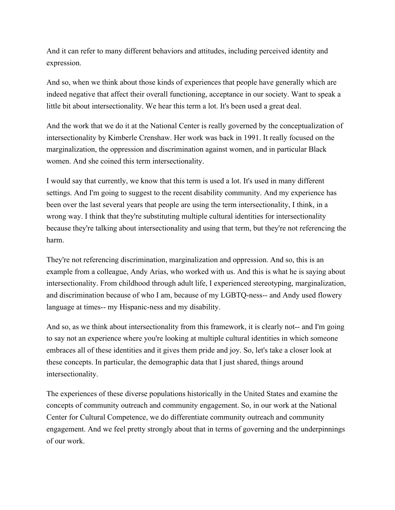And it can refer to many different behaviors and attitudes, including perceived identity and expression.

And so, when we think about those kinds of experiences that people have generally which are indeed negative that affect their overall functioning, acceptance in our society. Want to speak a little bit about intersectionality. We hear this term a lot. It's been used a great deal.

And the work that we do it at the National Center is really governed by the conceptualization of intersectionality by Kimberle Crenshaw. Her work was back in 1991. It really focused on the marginalization, the oppression and discrimination against women, and in particular Black women. And she coined this term intersectionality.

I would say that currently, we know that this term is used a lot. It's used in many different settings. And I'm going to suggest to the recent disability community. And my experience has been over the last several years that people are using the term intersectionality, I think, in a wrong way. I think that they're substituting multiple cultural identities for intersectionality because they're talking about intersectionality and using that term, but they're not referencing the harm.

They're not referencing discrimination, marginalization and oppression. And so, this is an example from a colleague, Andy Arias, who worked with us. And this is what he is saying about intersectionality. From childhood through adult life, I experienced stereotyping, marginalization, and discrimination because of who I am, because of my LGBTQ-ness-- and Andy used flowery language at times-- my Hispanic-ness and my disability.

And so, as we think about intersectionality from this framework, it is clearly not-- and I'm going to say not an experience where you're looking at multiple cultural identities in which someone embraces all of these identities and it gives them pride and joy. So, let's take a closer look at these concepts. In particular, the demographic data that I just shared, things around intersectionality.

The experiences of these diverse populations historically in the United States and examine the concepts of community outreach and community engagement. So, in our work at the National Center for Cultural Competence, we do differentiate community outreach and community engagement. And we feel pretty strongly about that in terms of governing and the underpinnings of our work.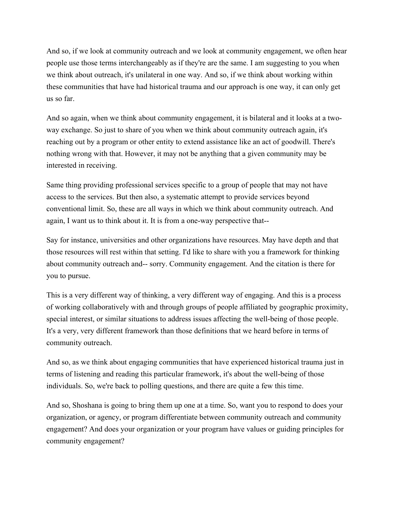And so, if we look at community outreach and we look at community engagement, we often hear people use those terms interchangeably as if they're are the same. I am suggesting to you when we think about outreach, it's unilateral in one way. And so, if we think about working within these communities that have had historical trauma and our approach is one way, it can only get us so far.

And so again, when we think about community engagement, it is bilateral and it looks at a twoway exchange. So just to share of you when we think about community outreach again, it's reaching out by a program or other entity to extend assistance like an act of goodwill. There's nothing wrong with that. However, it may not be anything that a given community may be interested in receiving.

Same thing providing professional services specific to a group of people that may not have access to the services. But then also, a systematic attempt to provide services beyond conventional limit. So, these are all ways in which we think about community outreach. And again, I want us to think about it. It is from a one-way perspective that--

Say for instance, universities and other organizations have resources. May have depth and that those resources will rest within that setting. I'd like to share with you a framework for thinking about community outreach and-- sorry. Community engagement. And the citation is there for you to pursue.

This is a very different way of thinking, a very different way of engaging. And this is a process of working collaboratively with and through groups of people affiliated by geographic proximity, special interest, or similar situations to address issues affecting the well-being of those people. It's a very, very different framework than those definitions that we heard before in terms of community outreach.

And so, as we think about engaging communities that have experienced historical trauma just in terms of listening and reading this particular framework, it's about the well-being of those individuals. So, we're back to polling questions, and there are quite a few this time.

And so, Shoshana is going to bring them up one at a time. So, want you to respond to does your organization, or agency, or program differentiate between community outreach and community engagement? And does your organization or your program have values or guiding principles for community engagement?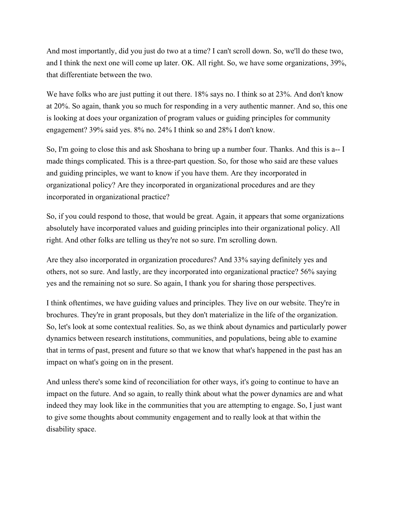And most importantly, did you just do two at a time? I can't scroll down. So, we'll do these two, and I think the next one will come up later. OK. All right. So, we have some organizations, 39%, that differentiate between the two.

We have folks who are just putting it out there. 18% says no. I think so at 23%. And don't know at 20%. So again, thank you so much for responding in a very authentic manner. And so, this one is looking at does your organization of program values or guiding principles for community engagement? 39% said yes. 8% no. 24% I think so and 28% I don't know.

So, I'm going to close this and ask Shoshana to bring up a number four. Thanks. And this is a-- I made things complicated. This is a three-part question. So, for those who said are these values and guiding principles, we want to know if you have them. Are they incorporated in organizational policy? Are they incorporated in organizational procedures and are they incorporated in organizational practice?

So, if you could respond to those, that would be great. Again, it appears that some organizations absolutely have incorporated values and guiding principles into their organizational policy. All right. And other folks are telling us they're not so sure. I'm scrolling down.

Are they also incorporated in organization procedures? And 33% saying definitely yes and others, not so sure. And lastly, are they incorporated into organizational practice? 56% saying yes and the remaining not so sure. So again, I thank you for sharing those perspectives.

I think oftentimes, we have guiding values and principles. They live on our website. They're in brochures. They're in grant proposals, but they don't materialize in the life of the organization. So, let's look at some contextual realities. So, as we think about dynamics and particularly power dynamics between research institutions, communities, and populations, being able to examine that in terms of past, present and future so that we know that what's happened in the past has an impact on what's going on in the present.

And unless there's some kind of reconciliation for other ways, it's going to continue to have an impact on the future. And so again, to really think about what the power dynamics are and what indeed they may look like in the communities that you are attempting to engage. So, I just want to give some thoughts about community engagement and to really look at that within the disability space.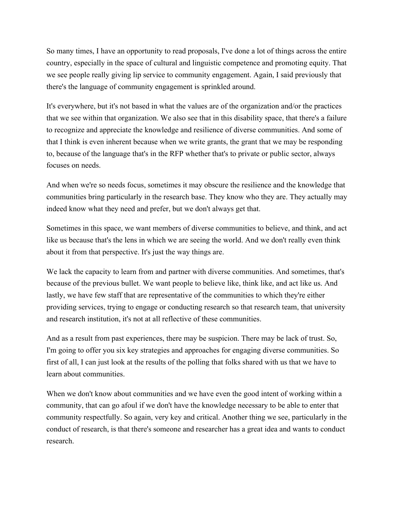So many times, I have an opportunity to read proposals, I've done a lot of things across the entire country, especially in the space of cultural and linguistic competence and promoting equity. That we see people really giving lip service to community engagement. Again, I said previously that there's the language of community engagement is sprinkled around.

It's everywhere, but it's not based in what the values are of the organization and/or the practices that we see within that organization. We also see that in this disability space, that there's a failure to recognize and appreciate the knowledge and resilience of diverse communities. And some of that I think is even inherent because when we write grants, the grant that we may be responding to, because of the language that's in the RFP whether that's to private or public sector, always focuses on needs.

And when we're so needs focus, sometimes it may obscure the resilience and the knowledge that communities bring particularly in the research base. They know who they are. They actually may indeed know what they need and prefer, but we don't always get that.

Sometimes in this space, we want members of diverse communities to believe, and think, and act like us because that's the lens in which we are seeing the world. And we don't really even think about it from that perspective. It's just the way things are.

We lack the capacity to learn from and partner with diverse communities. And sometimes, that's because of the previous bullet. We want people to believe like, think like, and act like us. And lastly, we have few staff that are representative of the communities to which they're either providing services, trying to engage or conducting research so that research team, that university and research institution, it's not at all reflective of these communities.

And as a result from past experiences, there may be suspicion. There may be lack of trust. So, I'm going to offer you six key strategies and approaches for engaging diverse communities. So first of all, I can just look at the results of the polling that folks shared with us that we have to learn about communities.

When we don't know about communities and we have even the good intent of working within a community, that can go afoul if we don't have the knowledge necessary to be able to enter that community respectfully. So again, very key and critical. Another thing we see, particularly in the conduct of research, is that there's someone and researcher has a great idea and wants to conduct research.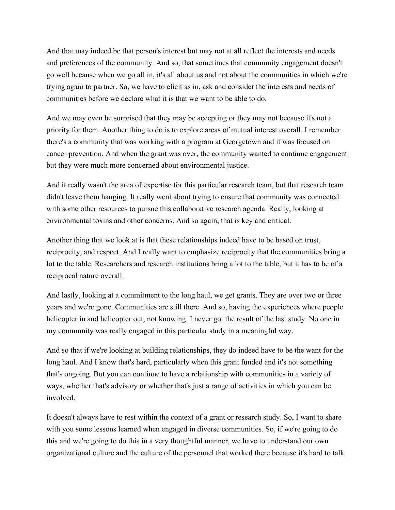And that may indeed be that person's interest but may not at all reflect the interests and needs and preferences of the community. And so, that sometimes that community engagement doesn't go well because when we go all in, it's all about us and not about the communities in which we're trying again to partner. So, we have to elicit as in, ask and consider the interests and needs of communities before we declare what it is that we want to be able to do.

And we may even be surprised that they may be accepting or they may not because it's not a priority for them. Another thing to do is to explore areas of mutual interest overall. I remember there's a community that was working with a program at Georgetown and it was focused on cancer prevention. And when the grant was over, the community wanted to continue engagement but they were much more concerned about environmental justice.

And it really wasn't the area of expertise for this particular research team, but that research team didn't leave them hanging. It really went about trying to ensure that community was connected with some other resources to pursue this collaborative research agenda. Really, looking at environmental toxins and other concerns. And so again, that is key and critical.

Another thing that we look at is that these relationships indeed have to be based on trust, reciprocity, and respect. And I really want to emphasize reciprocity that the communities bring a lot to the table. Researchers and research institutions bring a lot to the table, but it has to be of a reciprocal nature overall.

And lastly, looking at a commitment to the long haul, we get grants. They are over two or three years and we're gone. Communities are still there. And so, having the experiences where people helicopter in and helicopter out, not knowing. I never got the result of the last study. No one in my community was really engaged in this particular study in a meaningful way.

And so that if we're looking at building relationships, they do indeed have to be the want for the long haul. And I know that's hard, particularly when this grant funded and it's not something that's ongoing. But you can continue to have a relationship with communities in a variety of ways, whether that's advisory or whether that's just a range of activities in which you can be involved.

It doesn't always have to rest within the context of a grant or research study. So, I want to share with you some lessons learned when engaged in diverse communities. So, if we're going to do this and we're going to do this in a very thoughtful manner, we have to understand our own organizational culture and the culture of the personnel that worked there because it's hard to talk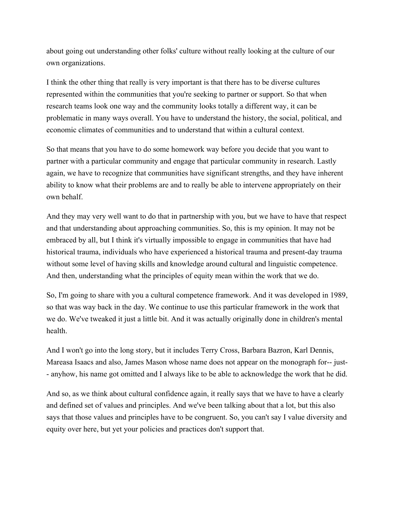about going out understanding other folks' culture without really looking at the culture of our own organizations.

I think the other thing that really is very important is that there has to be diverse cultures represented within the communities that you're seeking to partner or support. So that when research teams look one way and the community looks totally a different way, it can be problematic in many ways overall. You have to understand the history, the social, political, and economic climates of communities and to understand that within a cultural context.

So that means that you have to do some homework way before you decide that you want to partner with a particular community and engage that particular community in research. Lastly again, we have to recognize that communities have significant strengths, and they have inherent ability to know what their problems are and to really be able to intervene appropriately on their own behalf.

And they may very well want to do that in partnership with you, but we have to have that respect and that understanding about approaching communities. So, this is my opinion. It may not be embraced by all, but I think it's virtually impossible to engage in communities that have had historical trauma, individuals who have experienced a historical trauma and present-day trauma without some level of having skills and knowledge around cultural and linguistic competence. And then, understanding what the principles of equity mean within the work that we do.

So, I'm going to share with you a cultural competence framework. And it was developed in 1989, so that was way back in the day. We continue to use this particular framework in the work that we do. We've tweaked it just a little bit. And it was actually originally done in children's mental health.

And I won't go into the long story, but it includes Terry Cross, Barbara Bazron, Karl Dennis, Mareasa Isaacs and also, James Mason whose name does not appear on the monograph for-- just- - anyhow, his name got omitted and I always like to be able to acknowledge the work that he did.

And so, as we think about cultural confidence again, it really says that we have to have a clearly and defined set of values and principles. And we've been talking about that a lot, but this also says that those values and principles have to be congruent. So, you can't say I value diversity and equity over here, but yet your policies and practices don't support that.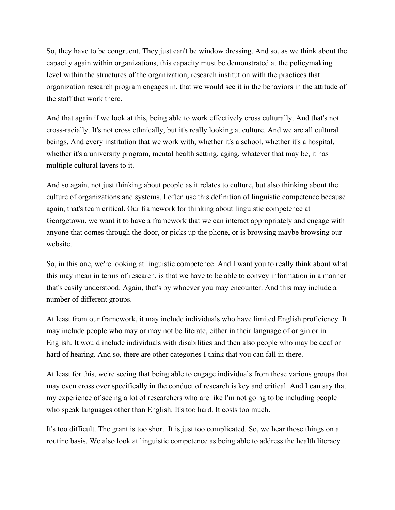So, they have to be congruent. They just can't be window dressing. And so, as we think about the capacity again within organizations, this capacity must be demonstrated at the policymaking level within the structures of the organization, research institution with the practices that organization research program engages in, that we would see it in the behaviors in the attitude of the staff that work there.

And that again if we look at this, being able to work effectively cross culturally. And that's not cross-racially. It's not cross ethnically, but it's really looking at culture. And we are all cultural beings. And every institution that we work with, whether it's a school, whether it's a hospital, whether it's a university program, mental health setting, aging, whatever that may be, it has multiple cultural layers to it.

And so again, not just thinking about people as it relates to culture, but also thinking about the culture of organizations and systems. I often use this definition of linguistic competence because again, that's team critical. Our framework for thinking about linguistic competence at Georgetown, we want it to have a framework that we can interact appropriately and engage with anyone that comes through the door, or picks up the phone, or is browsing maybe browsing our website.

So, in this one, we're looking at linguistic competence. And I want you to really think about what this may mean in terms of research, is that we have to be able to convey information in a manner that's easily understood. Again, that's by whoever you may encounter. And this may include a number of different groups.

At least from our framework, it may include individuals who have limited English proficiency. It may include people who may or may not be literate, either in their language of origin or in English. It would include individuals with disabilities and then also people who may be deaf or hard of hearing. And so, there are other categories I think that you can fall in there.

At least for this, we're seeing that being able to engage individuals from these various groups that may even cross over specifically in the conduct of research is key and critical. And I can say that my experience of seeing a lot of researchers who are like I'm not going to be including people who speak languages other than English. It's too hard. It costs too much.

It's too difficult. The grant is too short. It is just too complicated. So, we hear those things on a routine basis. We also look at linguistic competence as being able to address the health literacy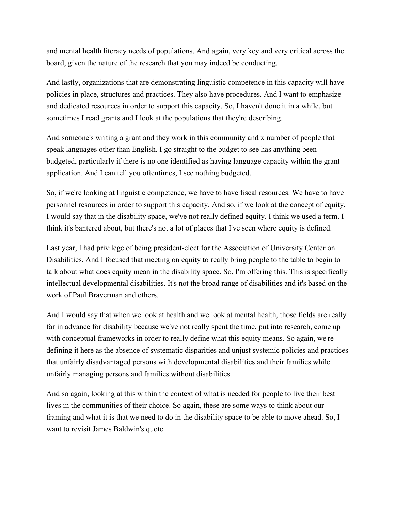and mental health literacy needs of populations. And again, very key and very critical across the board, given the nature of the research that you may indeed be conducting.

And lastly, organizations that are demonstrating linguistic competence in this capacity will have policies in place, structures and practices. They also have procedures. And I want to emphasize and dedicated resources in order to support this capacity. So, I haven't done it in a while, but sometimes I read grants and I look at the populations that they're describing.

And someone's writing a grant and they work in this community and x number of people that speak languages other than English. I go straight to the budget to see has anything been budgeted, particularly if there is no one identified as having language capacity within the grant application. And I can tell you oftentimes, I see nothing budgeted.

So, if we're looking at linguistic competence, we have to have fiscal resources. We have to have personnel resources in order to support this capacity. And so, if we look at the concept of equity, I would say that in the disability space, we've not really defined equity. I think we used a term. I think it's bantered about, but there's not a lot of places that I've seen where equity is defined.

Last year, I had privilege of being president-elect for the Association of University Center on Disabilities. And I focused that meeting on equity to really bring people to the table to begin to talk about what does equity mean in the disability space. So, I'm offering this. This is specifically intellectual developmental disabilities. It's not the broad range of disabilities and it's based on the work of Paul Braverman and others.

And I would say that when we look at health and we look at mental health, those fields are really far in advance for disability because we've not really spent the time, put into research, come up with conceptual frameworks in order to really define what this equity means. So again, we're defining it here as the absence of systematic disparities and unjust systemic policies and practices that unfairly disadvantaged persons with developmental disabilities and their families while unfairly managing persons and families without disabilities.

And so again, looking at this within the context of what is needed for people to live their best lives in the communities of their choice. So again, these are some ways to think about our framing and what it is that we need to do in the disability space to be able to move ahead. So, I want to revisit James Baldwin's quote.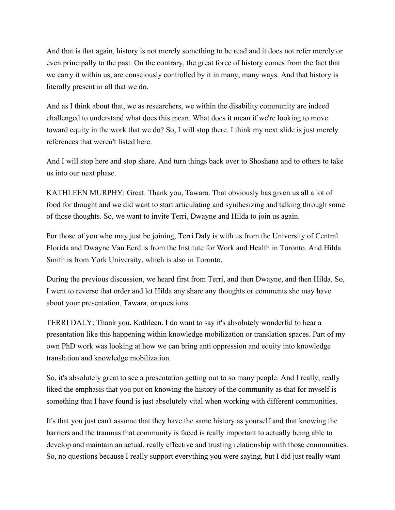And that is that again, history is not merely something to be read and it does not refer merely or even principally to the past. On the contrary, the great force of history comes from the fact that we carry it within us, are consciously controlled by it in many, many ways. And that history is literally present in all that we do.

And as I think about that, we as researchers, we within the disability community are indeed challenged to understand what does this mean. What does it mean if we're looking to move toward equity in the work that we do? So, I will stop there. I think my next slide is just merely references that weren't listed here.

And I will stop here and stop share. And turn things back over to Shoshana and to others to take us into our next phase.

KATHLEEN MURPHY: Great. Thank you, Tawara. That obviously has given us all a lot of food for thought and we did want to start articulating and synthesizing and talking through some of those thoughts. So, we want to invite Terri, Dwayne and Hilda to join us again.

For those of you who may just be joining, Terri Daly is with us from the University of Central Florida and Dwayne Van Eerd is from the Institute for Work and Health in Toronto. And Hilda Smith is from York University, which is also in Toronto.

During the previous discussion, we heard first from Terri, and then Dwayne, and then Hilda. So, I went to reverse that order and let Hilda any share any thoughts or comments she may have about your presentation, Tawara, or questions.

TERRI DALY: Thank you, Kathleen. I do want to say it's absolutely wonderful to hear a presentation like this happening within knowledge mobilization or translation spaces. Part of my own PhD work was looking at how we can bring anti oppression and equity into knowledge translation and knowledge mobilization.

So, it's absolutely great to see a presentation getting out to so many people. And I really, really liked the emphasis that you put on knowing the history of the community as that for myself is something that I have found is just absolutely vital when working with different communities.

It's that you just can't assume that they have the same history as yourself and that knowing the barriers and the traumas that community is faced is really important to actually being able to develop and maintain an actual, really effective and trusting relationship with those communities. So, no questions because I really support everything you were saying, but I did just really want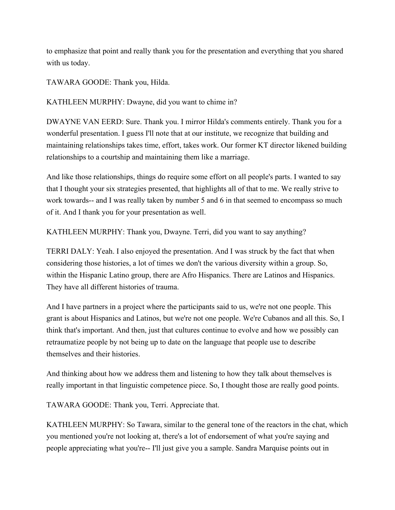to emphasize that point and really thank you for the presentation and everything that you shared with us today.

TAWARA GOODE: Thank you, Hilda.

KATHLEEN MURPHY: Dwayne, did you want to chime in?

DWAYNE VAN EERD: Sure. Thank you. I mirror Hilda's comments entirely. Thank you for a wonderful presentation. I guess I'll note that at our institute, we recognize that building and maintaining relationships takes time, effort, takes work. Our former KT director likened building relationships to a courtship and maintaining them like a marriage.

And like those relationships, things do require some effort on all people's parts. I wanted to say that I thought your six strategies presented, that highlights all of that to me. We really strive to work towards-- and I was really taken by number 5 and 6 in that seemed to encompass so much of it. And I thank you for your presentation as well.

KATHLEEN MURPHY: Thank you, Dwayne. Terri, did you want to say anything?

TERRI DALY: Yeah. I also enjoyed the presentation. And I was struck by the fact that when considering those histories, a lot of times we don't the various diversity within a group. So, within the Hispanic Latino group, there are Afro Hispanics. There are Latinos and Hispanics. They have all different histories of trauma.

And I have partners in a project where the participants said to us, we're not one people. This grant is about Hispanics and Latinos, but we're not one people. We're Cubanos and all this. So, I think that's important. And then, just that cultures continue to evolve and how we possibly can retraumatize people by not being up to date on the language that people use to describe themselves and their histories.

And thinking about how we address them and listening to how they talk about themselves is really important in that linguistic competence piece. So, I thought those are really good points.

TAWARA GOODE: Thank you, Terri. Appreciate that.

KATHLEEN MURPHY: So Tawara, similar to the general tone of the reactors in the chat, which you mentioned you're not looking at, there's a lot of endorsement of what you're saying and people appreciating what you're-- I'll just give you a sample. Sandra Marquise points out in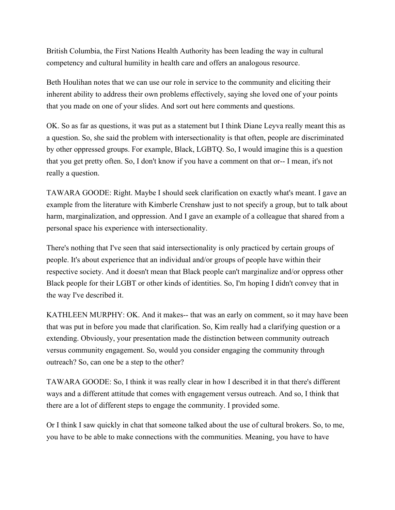British Columbia, the First Nations Health Authority has been leading the way in cultural competency and cultural humility in health care and offers an analogous resource.

Beth Houlihan notes that we can use our role in service to the community and eliciting their inherent ability to address their own problems effectively, saying she loved one of your points that you made on one of your slides. And sort out here comments and questions.

OK. So as far as questions, it was put as a statement but I think Diane Leyva really meant this as a question. So, she said the problem with intersectionality is that often, people are discriminated by other oppressed groups. For example, Black, LGBTQ. So, I would imagine this is a question that you get pretty often. So, I don't know if you have a comment on that or-- I mean, it's not really a question.

TAWARA GOODE: Right. Maybe I should seek clarification on exactly what's meant. I gave an example from the literature with Kimberle Crenshaw just to not specify a group, but to talk about harm, marginalization, and oppression. And I gave an example of a colleague that shared from a personal space his experience with intersectionality.

There's nothing that I've seen that said intersectionality is only practiced by certain groups of people. It's about experience that an individual and/or groups of people have within their respective society. And it doesn't mean that Black people can't marginalize and/or oppress other Black people for their LGBT or other kinds of identities. So, I'm hoping I didn't convey that in the way I've described it.

KATHLEEN MURPHY: OK. And it makes-- that was an early on comment, so it may have been that was put in before you made that clarification. So, Kim really had a clarifying question or a extending. Obviously, your presentation made the distinction between community outreach versus community engagement. So, would you consider engaging the community through outreach? So, can one be a step to the other?

TAWARA GOODE: So, I think it was really clear in how I described it in that there's different ways and a different attitude that comes with engagement versus outreach. And so, I think that there are a lot of different steps to engage the community. I provided some.

Or I think I saw quickly in chat that someone talked about the use of cultural brokers. So, to me, you have to be able to make connections with the communities. Meaning, you have to have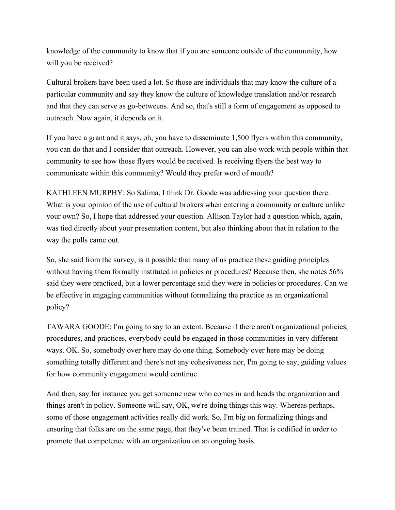knowledge of the community to know that if you are someone outside of the community, how will you be received?

Cultural brokers have been used a lot. So those are individuals that may know the culture of a particular community and say they know the culture of knowledge translation and/or research and that they can serve as go-betweens. And so, that's still a form of engagement as opposed to outreach. Now again, it depends on it.

If you have a grant and it says, oh, you have to disseminate 1,500 flyers within this community, you can do that and I consider that outreach. However, you can also work with people within that community to see how those flyers would be received. Is receiving flyers the best way to communicate within this community? Would they prefer word of mouth?

KATHLEEN MURPHY: So Salima, I think Dr. Goode was addressing your question there. What is your opinion of the use of cultural brokers when entering a community or culture unlike your own? So, I hope that addressed your question. Allison Taylor had a question which, again, was tied directly about your presentation content, but also thinking about that in relation to the way the polls came out.

So, she said from the survey, is it possible that many of us practice these guiding principles without having them formally instituted in policies or procedures? Because then, she notes 56% said they were practiced, but a lower percentage said they were in policies or procedures. Can we be effective in engaging communities without formalizing the practice as an organizational policy?

TAWARA GOODE: I'm going to say to an extent. Because if there aren't organizational policies, procedures, and practices, everybody could be engaged in those communities in very different ways. OK. So, somebody over here may do one thing. Somebody over here may be doing something totally different and there's not any cohesiveness nor, I'm going to say, guiding values for how community engagement would continue.

And then, say for instance you get someone new who comes in and heads the organization and things aren't in policy. Someone will say, OK, we're doing things this way. Whereas perhaps, some of those engagement activities really did work. So, I'm big on formalizing things and ensuring that folks are on the same page, that they've been trained. That is codified in order to promote that competence with an organization on an ongoing basis.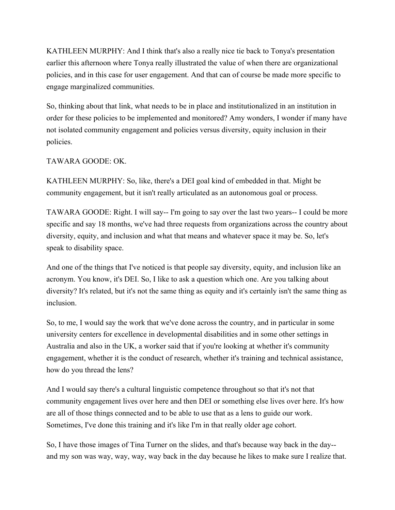KATHLEEN MURPHY: And I think that's also a really nice tie back to Tonya's presentation earlier this afternoon where Tonya really illustrated the value of when there are organizational policies, and in this case for user engagement. And that can of course be made more specific to engage marginalized communities.

So, thinking about that link, what needs to be in place and institutionalized in an institution in order for these policies to be implemented and monitored? Amy wonders, I wonder if many have not isolated community engagement and policies versus diversity, equity inclusion in their policies.

## TAWARA GOODE: OK.

KATHLEEN MURPHY: So, like, there's a DEI goal kind of embedded in that. Might be community engagement, but it isn't really articulated as an autonomous goal or process.

TAWARA GOODE: Right. I will say-- I'm going to say over the last two years-- I could be more specific and say 18 months, we've had three requests from organizations across the country about diversity, equity, and inclusion and what that means and whatever space it may be. So, let's speak to disability space.

And one of the things that I've noticed is that people say diversity, equity, and inclusion like an acronym. You know, it's DEI. So, I like to ask a question which one. Are you talking about diversity? It's related, but it's not the same thing as equity and it's certainly isn't the same thing as inclusion.

So, to me, I would say the work that we've done across the country, and in particular in some university centers for excellence in developmental disabilities and in some other settings in Australia and also in the UK, a worker said that if you're looking at whether it's community engagement, whether it is the conduct of research, whether it's training and technical assistance, how do you thread the lens?

And I would say there's a cultural linguistic competence throughout so that it's not that community engagement lives over here and then DEI or something else lives over here. It's how are all of those things connected and to be able to use that as a lens to guide our work. Sometimes, I've done this training and it's like I'm in that really older age cohort.

So, I have those images of Tina Turner on the slides, and that's because way back in the day- and my son was way, way, way, way back in the day because he likes to make sure I realize that.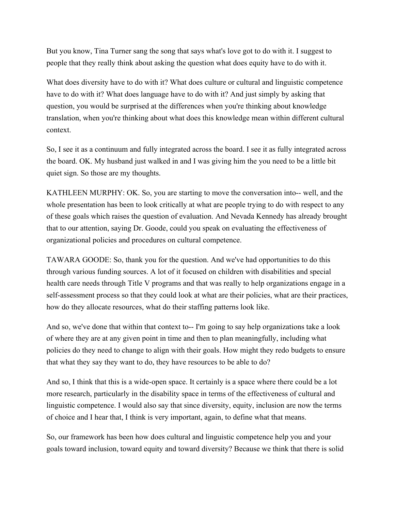But you know, Tina Turner sang the song that says what's love got to do with it. I suggest to people that they really think about asking the question what does equity have to do with it.

What does diversity have to do with it? What does culture or cultural and linguistic competence have to do with it? What does language have to do with it? And just simply by asking that question, you would be surprised at the differences when you're thinking about knowledge translation, when you're thinking about what does this knowledge mean within different cultural context.

So, I see it as a continuum and fully integrated across the board. I see it as fully integrated across the board. OK. My husband just walked in and I was giving him the you need to be a little bit quiet sign. So those are my thoughts.

KATHLEEN MURPHY: OK. So, you are starting to move the conversation into-- well, and the whole presentation has been to look critically at what are people trying to do with respect to any of these goals which raises the question of evaluation. And Nevada Kennedy has already brought that to our attention, saying Dr. Goode, could you speak on evaluating the effectiveness of organizational policies and procedures on cultural competence.

TAWARA GOODE: So, thank you for the question. And we've had opportunities to do this through various funding sources. A lot of it focused on children with disabilities and special health care needs through Title V programs and that was really to help organizations engage in a self-assessment process so that they could look at what are their policies, what are their practices, how do they allocate resources, what do their staffing patterns look like.

And so, we've done that within that context to-- I'm going to say help organizations take a look of where they are at any given point in time and then to plan meaningfully, including what policies do they need to change to align with their goals. How might they redo budgets to ensure that what they say they want to do, they have resources to be able to do?

And so, I think that this is a wide-open space. It certainly is a space where there could be a lot more research, particularly in the disability space in terms of the effectiveness of cultural and linguistic competence. I would also say that since diversity, equity, inclusion are now the terms of choice and I hear that, I think is very important, again, to define what that means.

So, our framework has been how does cultural and linguistic competence help you and your goals toward inclusion, toward equity and toward diversity? Because we think that there is solid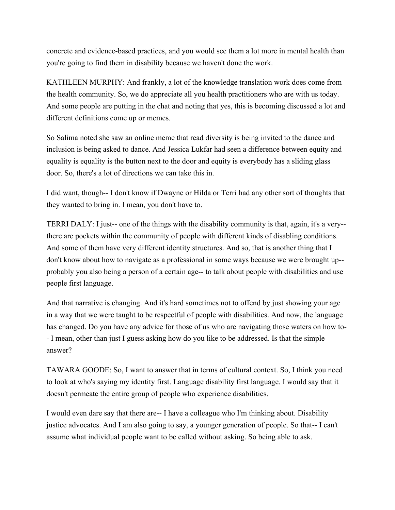concrete and evidence-based practices, and you would see them a lot more in mental health than you're going to find them in disability because we haven't done the work.

KATHLEEN MURPHY: And frankly, a lot of the knowledge translation work does come from the health community. So, we do appreciate all you health practitioners who are with us today. And some people are putting in the chat and noting that yes, this is becoming discussed a lot and different definitions come up or memes.

So Salima noted she saw an online meme that read diversity is being invited to the dance and inclusion is being asked to dance. And Jessica Lukfar had seen a difference between equity and equality is equality is the button next to the door and equity is everybody has a sliding glass door. So, there's a lot of directions we can take this in.

I did want, though-- I don't know if Dwayne or Hilda or Terri had any other sort of thoughts that they wanted to bring in. I mean, you don't have to.

TERRI DALY: I just-- one of the things with the disability community is that, again, it's a very- there are pockets within the community of people with different kinds of disabling conditions. And some of them have very different identity structures. And so, that is another thing that I don't know about how to navigate as a professional in some ways because we were brought up- probably you also being a person of a certain age-- to talk about people with disabilities and use people first language.

And that narrative is changing. And it's hard sometimes not to offend by just showing your age in a way that we were taught to be respectful of people with disabilities. And now, the language has changed. Do you have any advice for those of us who are navigating those waters on how to- - I mean, other than just I guess asking how do you like to be addressed. Is that the simple answer?

TAWARA GOODE: So, I want to answer that in terms of cultural context. So, I think you need to look at who's saying my identity first. Language disability first language. I would say that it doesn't permeate the entire group of people who experience disabilities.

I would even dare say that there are-- I have a colleague who I'm thinking about. Disability justice advocates. And I am also going to say, a younger generation of people. So that-- I can't assume what individual people want to be called without asking. So being able to ask.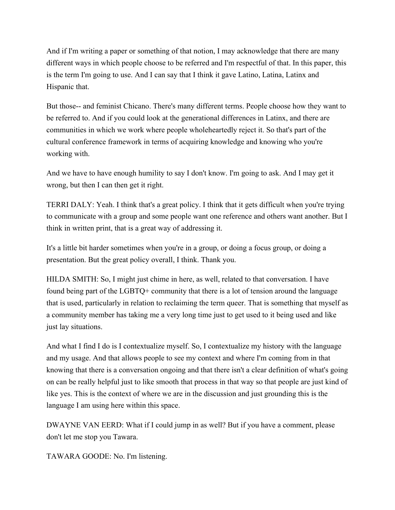And if I'm writing a paper or something of that notion, I may acknowledge that there are many different ways in which people choose to be referred and I'm respectful of that. In this paper, this is the term I'm going to use. And I can say that I think it gave Latino, Latina, Latinx and Hispanic that.

But those-- and feminist Chicano. There's many different terms. People choose how they want to be referred to. And if you could look at the generational differences in Latinx, and there are communities in which we work where people wholeheartedly reject it. So that's part of the cultural conference framework in terms of acquiring knowledge and knowing who you're working with.

And we have to have enough humility to say I don't know. I'm going to ask. And I may get it wrong, but then I can then get it right.

TERRI DALY: Yeah. I think that's a great policy. I think that it gets difficult when you're trying to communicate with a group and some people want one reference and others want another. But I think in written print, that is a great way of addressing it.

It's a little bit harder sometimes when you're in a group, or doing a focus group, or doing a presentation. But the great policy overall, I think. Thank you.

HILDA SMITH: So, I might just chime in here, as well, related to that conversation. I have found being part of the LGBTQ+ community that there is a lot of tension around the language that is used, particularly in relation to reclaiming the term queer. That is something that myself as a community member has taking me a very long time just to get used to it being used and like just lay situations.

And what I find I do is I contextualize myself. So, I contextualize my history with the language and my usage. And that allows people to see my context and where I'm coming from in that knowing that there is a conversation ongoing and that there isn't a clear definition of what's going on can be really helpful just to like smooth that process in that way so that people are just kind of like yes. This is the context of where we are in the discussion and just grounding this is the language I am using here within this space.

DWAYNE VAN EERD: What if I could jump in as well? But if you have a comment, please don't let me stop you Tawara.

TAWARA GOODE: No. I'm listening.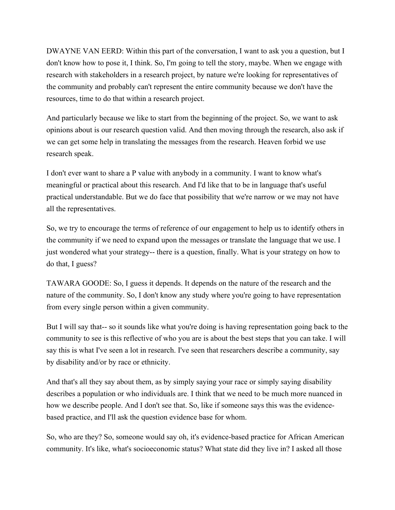DWAYNE VAN EERD: Within this part of the conversation, I want to ask you a question, but I don't know how to pose it, I think. So, I'm going to tell the story, maybe. When we engage with research with stakeholders in a research project, by nature we're looking for representatives of the community and probably can't represent the entire community because we don't have the resources, time to do that within a research project.

And particularly because we like to start from the beginning of the project. So, we want to ask opinions about is our research question valid. And then moving through the research, also ask if we can get some help in translating the messages from the research. Heaven forbid we use research speak.

I don't ever want to share a P value with anybody in a community. I want to know what's meaningful or practical about this research. And I'd like that to be in language that's useful practical understandable. But we do face that possibility that we're narrow or we may not have all the representatives.

So, we try to encourage the terms of reference of our engagement to help us to identify others in the community if we need to expand upon the messages or translate the language that we use. I just wondered what your strategy-- there is a question, finally. What is your strategy on how to do that, I guess?

TAWARA GOODE: So, I guess it depends. It depends on the nature of the research and the nature of the community. So, I don't know any study where you're going to have representation from every single person within a given community.

But I will say that-- so it sounds like what you're doing is having representation going back to the community to see is this reflective of who you are is about the best steps that you can take. I will say this is what I've seen a lot in research. I've seen that researchers describe a community, say by disability and/or by race or ethnicity.

And that's all they say about them, as by simply saying your race or simply saying disability describes a population or who individuals are. I think that we need to be much more nuanced in how we describe people. And I don't see that. So, like if someone says this was the evidencebased practice, and I'll ask the question evidence base for whom.

So, who are they? So, someone would say oh, it's evidence-based practice for African American community. It's like, what's socioeconomic status? What state did they live in? I asked all those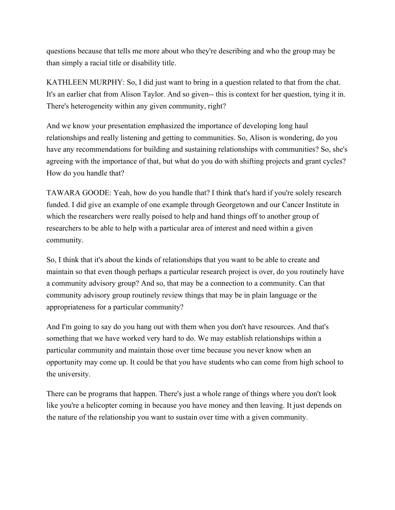questions because that tells me more about who they're describing and who the group may be than simply a racial title or disability title.

KATHLEEN MURPHY: So, I did just want to bring in a question related to that from the chat. It's an earlier chat from Alison Taylor. And so given-- this is context for her question, tying it in. There's heterogeneity within any given community, right?

And we know your presentation emphasized the importance of developing long haul relationships and really listening and getting to communities. So, Alison is wondering, do you have any recommendations for building and sustaining relationships with communities? So, she's agreeing with the importance of that, but what do you do with shifting projects and grant cycles? How do you handle that?

TAWARA GOODE: Yeah, how do you handle that? I think that's hard if you're solely research funded. I did give an example of one example through Georgetown and our Cancer Institute in which the researchers were really poised to help and hand things off to another group of researchers to be able to help with a particular area of interest and need within a given community.

So, I think that it's about the kinds of relationships that you want to be able to create and maintain so that even though perhaps a particular research project is over, do you routinely have a community advisory group? And so, that may be a connection to a community. Can that community advisory group routinely review things that may be in plain language or the appropriateness for a particular community?

And I'm going to say do you hang out with them when you don't have resources. And that's something that we have worked very hard to do. We may establish relationships within a particular community and maintain those over time because you never know when an opportunity may come up. It could be that you have students who can come from high school to the university.

There can be programs that happen. There's just a whole range of things where you don't look like you're a helicopter coming in because you have money and then leaving. It just depends on the nature of the relationship you want to sustain over time with a given community.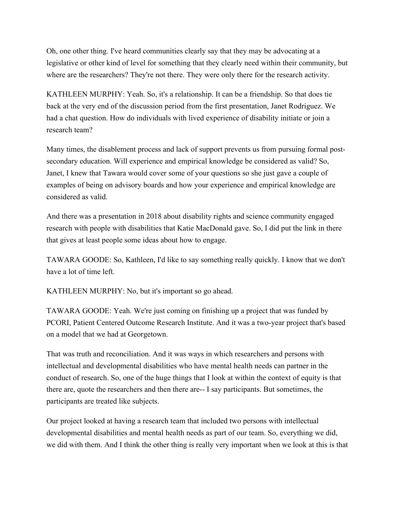Oh, one other thing. I've heard communities clearly say that they may be advocating at a legislative or other kind of level for something that they clearly need within their community, but where are the researchers? They're not there. They were only there for the research activity.

KATHLEEN MURPHY: Yeah. So, it's a relationship. It can be a friendship. So that does tie back at the very end of the discussion period from the first presentation, Janet Rodriguez. We had a chat question. How do individuals with lived experience of disability initiate or join a research team?

Many times, the disablement process and lack of support prevents us from pursuing formal postsecondary education. Will experience and empirical knowledge be considered as valid? So, Janet, I knew that Tawara would cover some of your questions so she just gave a couple of examples of being on advisory boards and how your experience and empirical knowledge are considered as valid.

And there was a presentation in 2018 about disability rights and science community engaged research with people with disabilities that Katie MacDonald gave. So, I did put the link in there that gives at least people some ideas about how to engage.

TAWARA GOODE: So, Kathleen, I'd like to say something really quickly. I know that we don't have a lot of time left.

KATHLEEN MURPHY: No, but it's important so go ahead.

TAWARA GOODE: Yeah. We're just coming on finishing up a project that was funded by PCORI, Patient Centered Outcome Research Institute. And it was a two-year project that's based on a model that we had at Georgetown.

That was truth and reconciliation. And it was ways in which researchers and persons with intellectual and developmental disabilities who have mental health needs can partner in the conduct of research. So, one of the huge things that I look at within the context of equity is that there are, quote the researchers and then there are-- I say participants. But sometimes, the participants are treated like subjects.

Our project looked at having a research team that included two persons with intellectual developmental disabilities and mental health needs as part of our team. So, everything we did, we did with them. And I think the other thing is really very important when we look at this is that